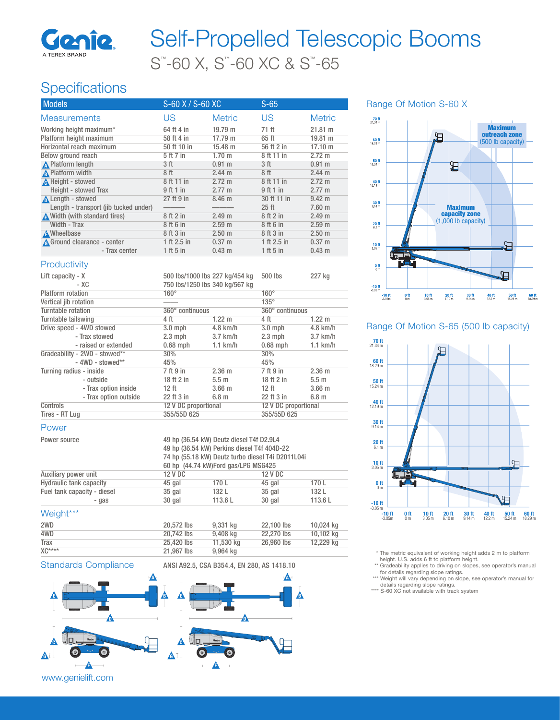

# S™ -60 X, S™ -60 XC & S™ -65 Self-Propelled Telescopic Booms

## **Specifications**

| <b>Models</b>                         | S-60 X / S-60 XC               |                   | $S-65$               |                   |
|---------------------------------------|--------------------------------|-------------------|----------------------|-------------------|
| <b>Measurements</b>                   | US                             | <b>Metric</b>     | US                   | <b>Metric</b>     |
| Working height maximum*               | 64 ft 4 in                     | 19.79 m           | 71 ft                | 21.81 m           |
| Platform height maximum               | 58 ft 4 in                     | 17.79 m           | 65 ft                | 19.81 m           |
| Horizontal reach maximum              | 50 ft 10 in                    | 15.48 m           | 56 ft 2 in           | 17.10 m           |
| Below ground reach                    | 5 ft 7 in                      | 1.70 <sub>m</sub> | 8 ft 11 in           | 2.72 m            |
| <b>A</b> Platform length              | 3 <sub>ft</sub>                | $0.91$ m          | 3 <sub>ft</sub>      | 0.91 m            |
| A Platform width                      | 8ft                            | 2.44 m            | 8ft                  | 2.44 m            |
| Height - stowed                       | 8 ft 11 in                     | $2.72 \text{ m}$  | 8 ft 11 in           | $2.72 \text{ m}$  |
| Height - stowed Trax                  | 9 ft 1 in                      | $2.77 \text{ m}$  | 9 ft 1 in            | $2.77 \text{ m}$  |
| <b>A</b> Length - stowed              | 27 ft 9 in                     | 8.46 m            | 30 ft 11 in          | $9.42 \text{ m}$  |
| Length - transport (jib tucked under) |                                |                   | 25 <sub>ft</sub>     | $7.60$ m          |
| A Width (with standard tires)         | 8 ft 2 in                      | 2.49 m            | 8 ft 2 in            | 2.49 <sub>m</sub> |
| Width - Trax                          | 8 ft 6 in                      | 2.59 <sub>m</sub> | 8 ft 6 in            | 2.59 <sub>m</sub> |
| <b>A</b> Wheelbase                    | 8 ft 3 in                      | $2.50$ m          | 8 ft 3 in            | 2.50 <sub>m</sub> |
| A Ground clearance - center           | 1 ft 2.5 in                    | $0.37 \; m$       | 1 ft 2.5 in          | $0.37$ m          |
| - Trax center                         | 1 ft 5 in                      | $0.43 \text{ m}$  | 1 ft 5 in            | $0.43 \text{ m}$  |
| Productivity                          |                                |                   |                      |                   |
| Lift capacity $- X$                   | 500 lbs/1000 lbs 227 kg/454 kg |                   | 500 lbs              | 227 kg            |
| $-XC$                                 | 750 lbs/1250 lbs 340 kg/567 kg |                   |                      |                   |
| Platform rotation                     | $160^\circ$                    |                   | $160^\circ$          |                   |
| Vertical jib rotation                 |                                |                   | $135^\circ$          |                   |
| Turntable rotation                    | 360° continuous                |                   | 360° continuous      |                   |
| Turntable tailswing                   | 4 ft                           | $1.22 \text{ m}$  | 4ft                  | $1.22 \text{ m}$  |
| Drive speed - 4WD stowed              | $3.0$ mph                      | 4.8 km/h          | $3.0$ mph            | $4.8$ km/h        |
| - Trax stowed                         | $2.3$ mph                      | $3.7$ km/h        | $2.3$ mph            | $3.7$ km/h        |
| - raised or extended                  | $0.68$ mph                     | $1.1$ km/h        | $0.68$ mph           | $1.1$ km/h        |
| Gradeability - 2WD - stowed**         | 30%                            |                   | 30%                  |                   |
| $-$ 4WD - stowed**                    | 45%                            |                   | 45%                  |                   |
| Turning radius - inside               | 7 ft 9 in                      | $2.36$ m          | 7 ft 9 in            | $2.36$ m          |
| - outside                             | 18 ft 2 in                     | 5.5 <sub>m</sub>  | 18 ft 2 in           | 5.5 <sub>m</sub>  |
| - Trax option inside                  | $12$ ft                        | $3.66$ m          | $12$ ft              | $3.66$ m          |
| - Trax option outside                 | 22 ft 3 in                     | 6.8 <sub>m</sub>  | 22 ft 3 in           | 6.8 <sub>m</sub>  |
| Controls                              | 12 V DC proportional           |                   | 12 V DC proportional |                   |

#### Power

Tires - RT Lug

| Power source                | 49 hp (36.54 kW) Deutz diesel T4f D2.9L4<br>49 hp (36.54 kW) Perkins diesel T4f 404D-22<br>74 hp (55.18 kW) Deutz turbo diesel T4i D2011L04i |        |         |        |
|-----------------------------|----------------------------------------------------------------------------------------------------------------------------------------------|--------|---------|--------|
|                             | 60 hp (44.74 kW) Ford gas/LPG MSG425                                                                                                         |        |         |        |
| Auxiliary power unit        | 12 V DC                                                                                                                                      |        | 12 V DC |        |
| Hydraulic tank capacity     | 45 gal                                                                                                                                       | 170 L  | 45 gal  | 170 L  |
| Fuel tank capacity - diesel | $35$ gal                                                                                                                                     | 132 L  | 35 gal  | 132 L  |
| - gas                       | 30 gal                                                                                                                                       | 113.6L | 30 gal  | 113.6L |

#### Weight\*\*\*

| 2WD     | 20,572 lbs | 9.331 kg  | 22,100 lbs | 10.024 kg |
|---------|------------|-----------|------------|-----------|
| 4WD     | 20,742 lbs | 9.408 ka  | 22,270 lbs | 10.102 kg |
| Trax    | 25,420 lbs | 11.530 kg | 26,960 lbs | 12.229 kg |
| $XC***$ | 21,967 lbs | 9,964 kg  |            |           |



12 V DC proportional 12 V DC proportional 12 V DC proportional 12 V DC proportional 12 V DC proportional 12 V DC proportional 12 V DC proportional 12 V DC proportional 12 V DC proportional 12 V DC proportional 12 V DC prop



#### Range Of Motion S-60 X



### Range Of Motion S-65 (500 lb capacity)



\* The metric equivalent of working height adds 2 m to platform height. U.S. adds 6 ft to platform height.

\*\* Gradeability applies to driving on slopes, see operator's manual

for details regarding slope ratings. \*\*\* Weight will vary depending on slope, see operator's manual for

details regarding slope ratings. \*\*\*\* S-60 XC not available with track system

#### www.genielift.com